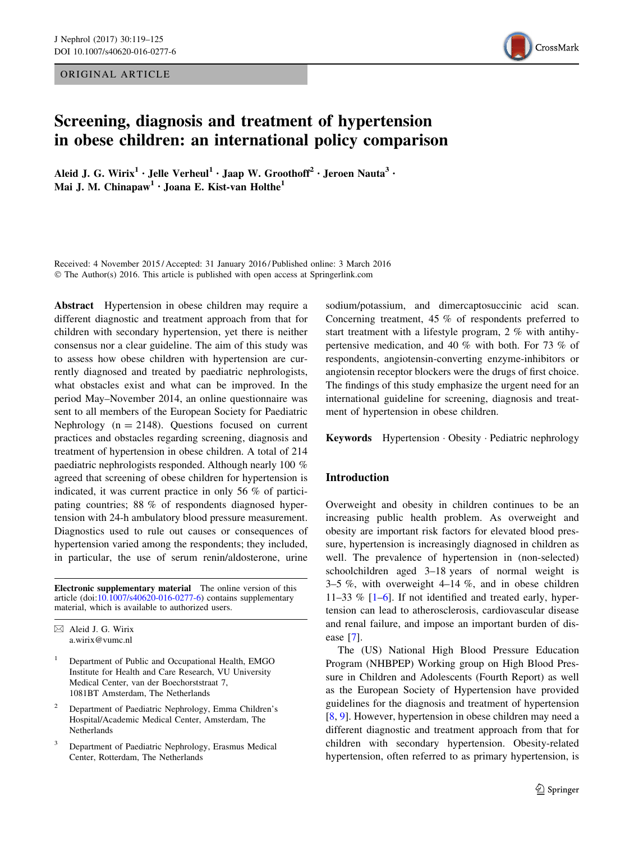ORIGINAL ARTICLE



# Screening, diagnosis and treatment of hypertension in obese children: an international policy comparison

Aleid J. G. Wirix<sup>1</sup> · Jelle Verheul<sup>1</sup> · Jaap W. Groothoff<sup>2</sup> · Jeroen Nauta<sup>3</sup> · Mai J. M. Chinapaw<sup>1</sup> · Joana E. Kist-van Holthe<sup>1</sup>

Received: 4 November 2015 / Accepted: 31 January 2016 / Published online: 3 March 2016 © The Author(s) 2016. This article is published with open access at Springerlink.com

Abstract Hypertension in obese children may require a different diagnostic and treatment approach from that for children with secondary hypertension, yet there is neither consensus nor a clear guideline. The aim of this study was to assess how obese children with hypertension are currently diagnosed and treated by paediatric nephrologists, what obstacles exist and what can be improved. In the period May–November 2014, an online questionnaire was sent to all members of the European Society for Paediatric Nephrology ( $n = 2148$ ). Questions focused on current practices and obstacles regarding screening, diagnosis and treatment of hypertension in obese children. A total of 214 paediatric nephrologists responded. Although nearly 100 % agreed that screening of obese children for hypertension is indicated, it was current practice in only 56 % of participating countries; 88 % of respondents diagnosed hypertension with 24-h ambulatory blood pressure measurement. Diagnostics used to rule out causes or consequences of hypertension varied among the respondents; they included, in particular, the use of serum renin/aldosterone, urine

Electronic supplementary material The online version of this article (doi:[10.1007/s40620-016-0277-6\)](http://dx.doi.org/10.1007/s40620-016-0277-6) contains supplementary material, which is available to authorized users.

 $\boxtimes$  Aleid J. G. Wirix a.wirix@vumc.nl

- <sup>1</sup> Department of Public and Occupational Health, EMGO Institute for Health and Care Research, VU University Medical Center, van der Boechorststraat 7, 1081BT Amsterdam, The Netherlands
- <sup>2</sup> Department of Paediatric Nephrology, Emma Children's Hospital/Academic Medical Center, Amsterdam, The Netherlands
- <sup>3</sup> Department of Paediatric Nephrology, Erasmus Medical Center, Rotterdam, The Netherlands

sodium/potassium, and dimercaptosuccinic acid scan. Concerning treatment, 45 % of respondents preferred to start treatment with a lifestyle program, 2 % with antihypertensive medication, and 40 % with both. For 73 % of respondents, angiotensin-converting enzyme-inhibitors or angiotensin receptor blockers were the drugs of first choice. The findings of this study emphasize the urgent need for an international guideline for screening, diagnosis and treatment of hypertension in obese children.

Keywords Hypertension · Obesity · Pediatric nephrology

## Introduction

Overweight and obesity in children continues to be an increasing public health problem. As overweight and obesity are important risk factors for elevated blood pressure, hypertension is increasingly diagnosed in children as well. The prevalence of hypertension in (non-selected) schoolchildren aged 3–18 years of normal weight is 3–5 %, with overweight 4–14 %, and in obese children 11–33 % [[1–6\]](#page-6-0). If not identified and treated early, hypertension can lead to atherosclerosis, cardiovascular disease and renal failure, and impose an important burden of disease [\[7](#page-6-0)].

The (US) National High Blood Pressure Education Program (NHBPEP) Working group on High Blood Pressure in Children and Adolescents (Fourth Report) as well as the European Society of Hypertension have provided guidelines for the diagnosis and treatment of hypertension [\[8](#page-6-0), [9](#page-6-0)]. However, hypertension in obese children may need a different diagnostic and treatment approach from that for children with secondary hypertension. Obesity-related hypertension, often referred to as primary hypertension, is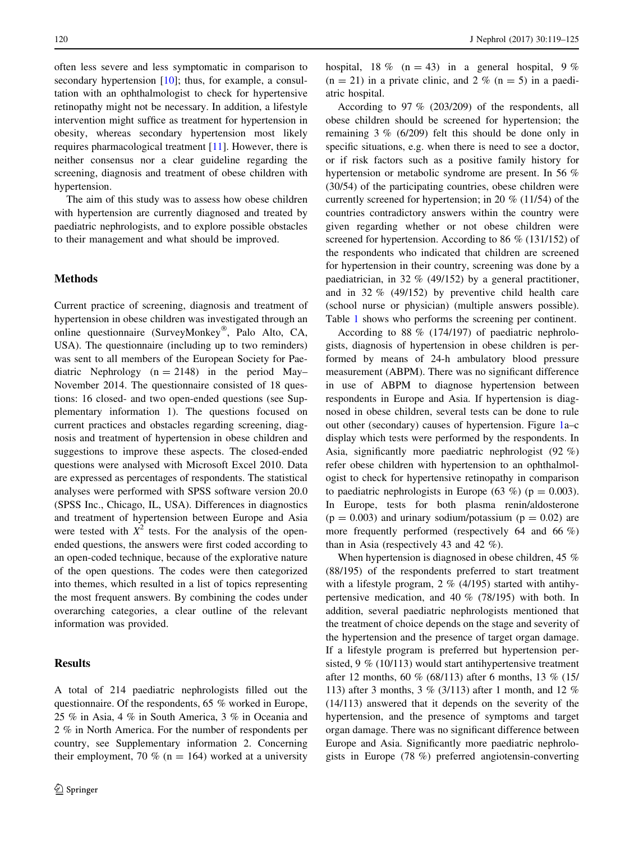often less severe and less symptomatic in comparison to secondary hypertension [[10\]](#page-6-0); thus, for example, a consultation with an ophthalmologist to check for hypertensive retinopathy might not be necessary. In addition, a lifestyle intervention might suffice as treatment for hypertension in obesity, whereas secondary hypertension most likely requires pharmacological treatment [\[11](#page-6-0)]. However, there is neither consensus nor a clear guideline regarding the screening, diagnosis and treatment of obese children with hypertension.

The aim of this study was to assess how obese children with hypertension are currently diagnosed and treated by paediatric nephrologists, and to explore possible obstacles to their management and what should be improved.

### Methods

Current practice of screening, diagnosis and treatment of hypertension in obese children was investigated through an online questionnaire (SurveyMonkey®, Palo Alto, CA, USA). The questionnaire (including up to two reminders) was sent to all members of the European Society for Paediatric Nephrology  $(n = 2148)$  in the period May– November 2014. The questionnaire consisted of 18 questions: 16 closed- and two open-ended questions (see Supplementary information 1). The questions focused on current practices and obstacles regarding screening, diagnosis and treatment of hypertension in obese children and suggestions to improve these aspects. The closed-ended questions were analysed with Microsoft Excel 2010. Data are expressed as percentages of respondents. The statistical analyses were performed with SPSS software version 20.0 (SPSS Inc., Chicago, IL, USA). Differences in diagnostics and treatment of hypertension between Europe and Asia were tested with  $X^2$  tests. For the analysis of the openended questions, the answers were first coded according to an open-coded technique, because of the explorative nature of the open questions. The codes were then categorized into themes, which resulted in a list of topics representing the most frequent answers. By combining the codes under overarching categories, a clear outline of the relevant information was provided.

## Results

A total of 214 paediatric nephrologists filled out the questionnaire. Of the respondents, 65 % worked in Europe, 25 % in Asia, 4 % in South America, 3 % in Oceania and 2 % in North America. For the number of respondents per country, see Supplementary information 2. Concerning their employment, 70 % ( $n = 164$ ) worked at a university hospital, 18 % (n = 43) in a general hospital, 9 %  $(n = 21)$  in a private clinic, and 2 %  $(n = 5)$  in a paediatric hospital.

According to 97 % (203/209) of the respondents, all obese children should be screened for hypertension; the remaining 3 % (6/209) felt this should be done only in specific situations, e.g. when there is need to see a doctor, or if risk factors such as a positive family history for hypertension or metabolic syndrome are present. In 56 % (30/54) of the participating countries, obese children were currently screened for hypertension; in 20 % (11/54) of the countries contradictory answers within the country were given regarding whether or not obese children were screened for hypertension. According to 86 % (131/152) of the respondents who indicated that children are screened for hypertension in their country, screening was done by a paediatrician, in 32 % (49/152) by a general practitioner, and in 32 % (49/152) by preventive child health care (school nurse or physician) (multiple answers possible). Table [1](#page-2-0) shows who performs the screening per continent.

According to 88 % (174/197) of paediatric nephrologists, diagnosis of hypertension in obese children is performed by means of 24-h ambulatory blood pressure measurement (ABPM). There was no significant difference in use of ABPM to diagnose hypertension between respondents in Europe and Asia. If hypertension is diagnosed in obese children, several tests can be done to rule out other (secondary) causes of hypertension. Figure [1](#page-3-0)a–c display which tests were performed by the respondents. In Asia, significantly more paediatric nephrologist (92 %) refer obese children with hypertension to an ophthalmologist to check for hypertensive retinopathy in comparison to paediatric nephrologists in Europe (63 %) ( $p = 0.003$ ). In Europe, tests for both plasma renin/aldosterone  $(p = 0.003)$  and urinary sodium/potassium  $(p = 0.02)$  are more frequently performed (respectively 64 and 66 %) than in Asia (respectively 43 and 42 %).

When hypertension is diagnosed in obese children, 45 % (88/195) of the respondents preferred to start treatment with a lifestyle program, 2 % (4/195) started with antihypertensive medication, and 40 % (78/195) with both. In addition, several paediatric nephrologists mentioned that the treatment of choice depends on the stage and severity of the hypertension and the presence of target organ damage. If a lifestyle program is preferred but hypertension persisted, 9 % (10/113) would start antihypertensive treatment after 12 months, 60 % (68/113) after 6 months, 13 % (15/ 113) after 3 months, 3 % (3/113) after 1 month, and 12 % (14/113) answered that it depends on the severity of the hypertension, and the presence of symptoms and target organ damage. There was no significant difference between Europe and Asia. Significantly more paediatric nephrologists in Europe (78 %) preferred angiotensin-converting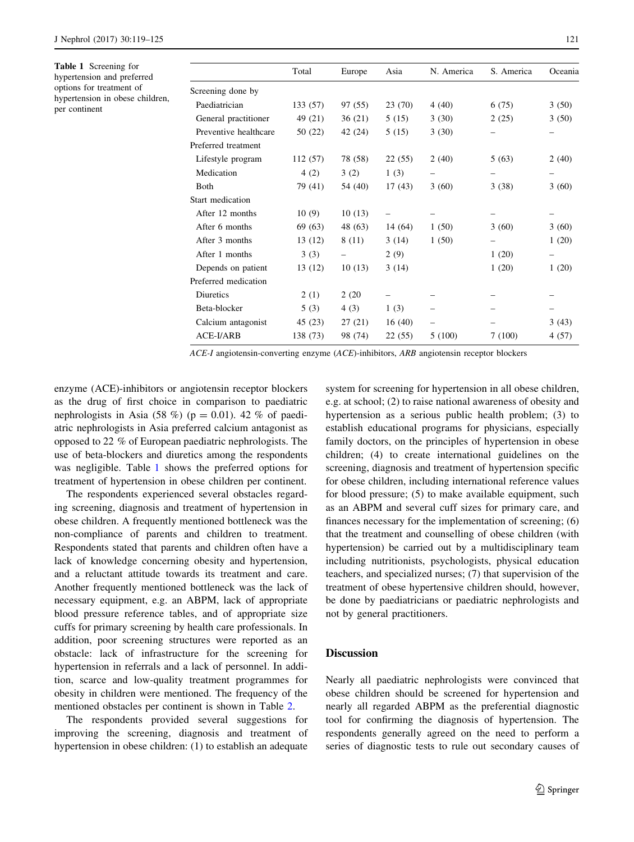<span id="page-2-0"></span>Table 1 Screening for hypertension and preferred options for treatment of hypertension in obese children, per continent

|                       | Total    | Europe  | Asia    | N. America | S. America | Oceania |
|-----------------------|----------|---------|---------|------------|------------|---------|
| Screening done by     |          |         |         |            |            |         |
| Paediatrician         | 133 (57) | 97 (55) | 23(70)  | 4(40)      | 6(75)      | 3(50)   |
| General practitioner  | 49 (21)  | 36(21)  | 5(15)   | 3(30)      | 2(25)      | 3(50)   |
| Preventive healthcare | 50(22)   | 42 (24) | 5(15)   | 3(30)      |            |         |
| Preferred treatment   |          |         |         |            |            |         |
| Lifestyle program     | 112 (57) | 78 (58) | 22(55)  | 2(40)      | 5(63)      | 2(40)   |
| Medication            | 4(2)     | 3(2)    | 1(3)    | -          |            | -       |
| <b>B</b> oth          | 79 (41)  | 54 (40) | 17(43)  | 3(60)      | 3(38)      | 3(60)   |
| Start medication      |          |         |         |            |            |         |
| After 12 months       | 10(9)    | 10(13)  |         |            |            |         |
| After 6 months        | 69 (63)  | 48 (63) | 14 (64) | 1(50)      | 3(60)      | 3(60)   |
| After 3 months        | 13(12)   | 8 (11)  | 3(14)   | 1(50)      |            | 1(20)   |
| After 1 months        | 3(3)     |         | 2(9)    |            | 1(20)      | -       |
| Depends on patient    | 13 (12)  | 10(13)  | 3(14)   |            | 1(20)      | 1(20)   |
| Preferred medication  |          |         |         |            |            |         |
| Diuretics             | 2(1)     | 2(20)   |         |            |            |         |
| Beta-blocker          | 5(3)     | 4(3)    | 1(3)    |            |            |         |
| Calcium antagonist    | 45 (23)  | 27(21)  | 16(40)  |            |            | 3(43)   |
| <b>ACE-I/ARB</b>      | 138 (73) | 98 (74) | 22(55)  | 5(100)     | 7(100)     | 4(57)   |
|                       |          |         |         |            |            |         |

ACE-I angiotensin-converting enzyme (ACE)-inhibitors, ARB angiotensin receptor blockers

enzyme (ACE)-inhibitors or angiotensin receptor blockers as the drug of first choice in comparison to paediatric nephrologists in Asia (58 %) ( $p = 0.01$ ). 42 % of paediatric nephrologists in Asia preferred calcium antagonist as opposed to 22 % of European paediatric nephrologists. The use of beta-blockers and diuretics among the respondents was negligible. Table 1 shows the preferred options for treatment of hypertension in obese children per continent.

The respondents experienced several obstacles regarding screening, diagnosis and treatment of hypertension in obese children. A frequently mentioned bottleneck was the non-compliance of parents and children to treatment. Respondents stated that parents and children often have a lack of knowledge concerning obesity and hypertension, and a reluctant attitude towards its treatment and care. Another frequently mentioned bottleneck was the lack of necessary equipment, e.g. an ABPM, lack of appropriate blood pressure reference tables, and of appropriate size cuffs for primary screening by health care professionals. In addition, poor screening structures were reported as an obstacle: lack of infrastructure for the screening for hypertension in referrals and a lack of personnel. In addition, scarce and low-quality treatment programmes for obesity in children were mentioned. The frequency of the mentioned obstacles per continent is shown in Table [2](#page-4-0).

The respondents provided several suggestions for improving the screening, diagnosis and treatment of hypertension in obese children: (1) to establish an adequate system for screening for hypertension in all obese children, e.g. at school; (2) to raise national awareness of obesity and hypertension as a serious public health problem; (3) to establish educational programs for physicians, especially family doctors, on the principles of hypertension in obese children; (4) to create international guidelines on the screening, diagnosis and treatment of hypertension specific for obese children, including international reference values for blood pressure; (5) to make available equipment, such as an ABPM and several cuff sizes for primary care, and finances necessary for the implementation of screening; (6) that the treatment and counselling of obese children (with hypertension) be carried out by a multidisciplinary team including nutritionists, psychologists, physical education teachers, and specialized nurses; (7) that supervision of the treatment of obese hypertensive children should, however, be done by paediatricians or paediatric nephrologists and not by general practitioners.

#### **Discussion**

Nearly all paediatric nephrologists were convinced that obese children should be screened for hypertension and nearly all regarded ABPM as the preferential diagnostic tool for confirming the diagnosis of hypertension. The respondents generally agreed on the need to perform a series of diagnostic tests to rule out secondary causes of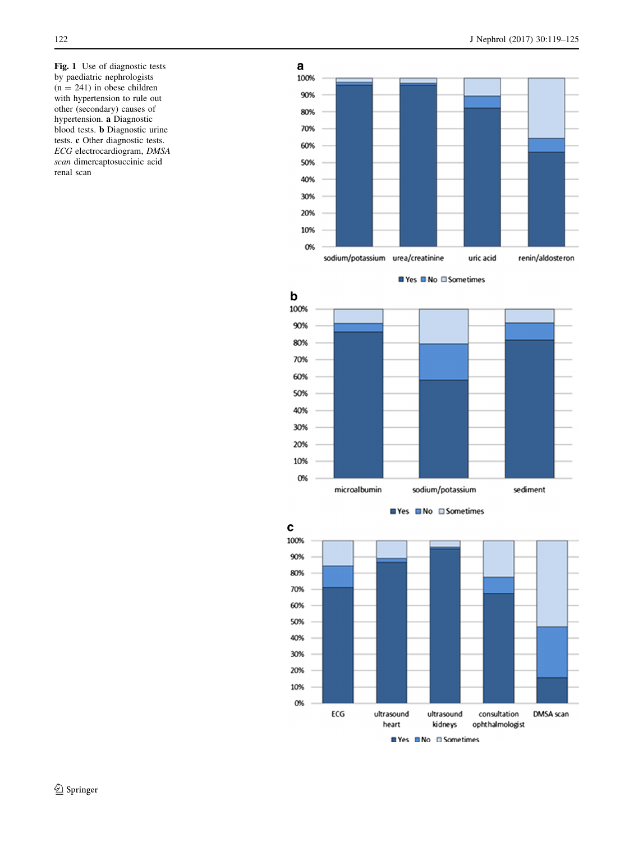<span id="page-3-0"></span>Fig. 1 Use of diagnostic tests by paediatric nephrologists  $(n = 241)$  in obese children with hypertension to rule out other (secondary) causes of hypertension. a Diagnostic blood tests. b Diagnostic urine tests. c Other diagnostic tests. ECG electrocardiogram, DMSA scan dimercaptosuccinic acid renal scan









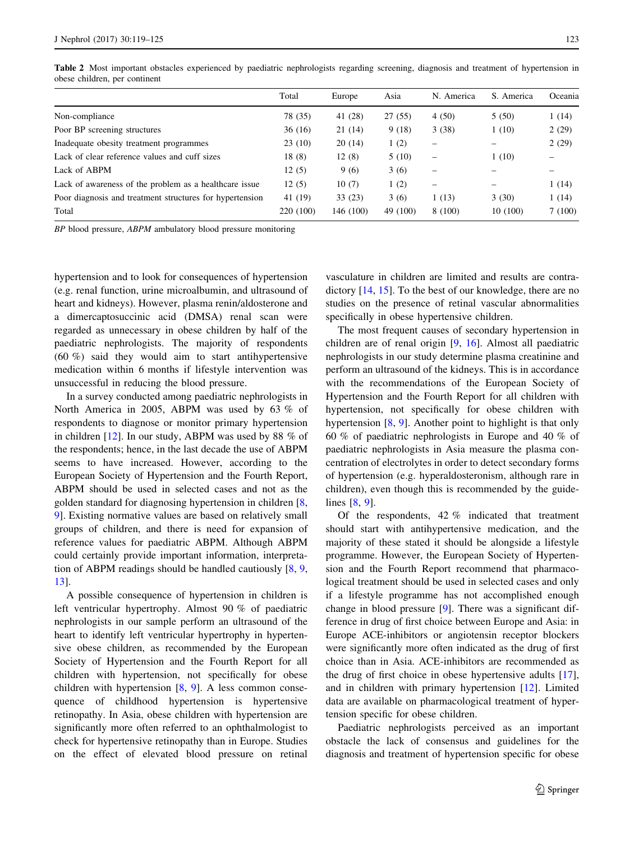|                                                          | Total     | Europe    | Asia     | N. America               | S. America | Oceania |
|----------------------------------------------------------|-----------|-----------|----------|--------------------------|------------|---------|
| Non-compliance                                           | 78 (35)   | 41 (28)   | 27(55)   | 4(50)                    | 5(50)      | 1(14)   |
| Poor BP screening structures                             | 36(16)    | 21(14)    | 9(18)    | 3(38)                    | 1(10)      | 2(29)   |
| Inadequate obesity treatment programmes                  | 23(10)    | 20(14)    | 1(2)     | -                        |            | 2(29)   |
| Lack of clear reference values and cuff sizes            | 18(8)     | 12(8)     | 5(10)    | $\overline{\phantom{0}}$ | 1(10)      |         |
| Lack of ABPM                                             | 12(5)     | 9(6)      | 3(6)     | $\overline{\phantom{0}}$ |            |         |
| Lack of awareness of the problem as a healthcare issue   | 12(5)     | 10(7)     | 1(2)     | $\qquad \qquad$          |            | 1(14)   |
| Poor diagnosis and treatment structures for hypertension | 41 (19)   | 33(23)    | 3(6)     | 1(13)                    | 3(30)      | 1(14)   |
| Total                                                    | 220 (100) | 146 (100) | 49 (100) | 8 (100)                  | 10(100)    | 7(100)  |

<span id="page-4-0"></span>Table 2 Most important obstacles experienced by paediatric nephrologists regarding screening, diagnosis and treatment of hypertension in obese children, per continent

BP blood pressure, ABPM ambulatory blood pressure monitoring

hypertension and to look for consequences of hypertension (e.g. renal function, urine microalbumin, and ultrasound of heart and kidneys). However, plasma renin/aldosterone and a dimercaptosuccinic acid (DMSA) renal scan were regarded as unnecessary in obese children by half of the paediatric nephrologists. The majority of respondents (60 %) said they would aim to start antihypertensive medication within 6 months if lifestyle intervention was unsuccessful in reducing the blood pressure.

In a survey conducted among paediatric nephrologists in North America in 2005, ABPM was used by 63 % of respondents to diagnose or monitor primary hypertension in children [[12\]](#page-6-0). In our study, ABPM was used by 88 % of the respondents; hence, in the last decade the use of ABPM seems to have increased. However, according to the European Society of Hypertension and the Fourth Report, ABPM should be used in selected cases and not as the golden standard for diagnosing hypertension in children [[8,](#page-6-0) [9](#page-6-0)]. Existing normative values are based on relatively small groups of children, and there is need for expansion of reference values for paediatric ABPM. Although ABPM could certainly provide important information, interpretation of ABPM readings should be handled cautiously [\[8](#page-6-0), [9,](#page-6-0) [13](#page-6-0)].

A possible consequence of hypertension in children is left ventricular hypertrophy. Almost 90 % of paediatric nephrologists in our sample perform an ultrasound of the heart to identify left ventricular hypertrophy in hypertensive obese children, as recommended by the European Society of Hypertension and the Fourth Report for all children with hypertension, not specifically for obese children with hypertension  $[8, 9]$  $[8, 9]$  $[8, 9]$ . A less common consequence of childhood hypertension is hypertensive retinopathy. In Asia, obese children with hypertension are significantly more often referred to an ophthalmologist to check for hypertensive retinopathy than in Europe. Studies on the effect of elevated blood pressure on retinal vasculature in children are limited and results are contradictory [\[14](#page-6-0), [15](#page-6-0)]. To the best of our knowledge, there are no studies on the presence of retinal vascular abnormalities specifically in obese hypertensive children.

The most frequent causes of secondary hypertension in children are of renal origin [\[9](#page-6-0), [16\]](#page-6-0). Almost all paediatric nephrologists in our study determine plasma creatinine and perform an ultrasound of the kidneys. This is in accordance with the recommendations of the European Society of Hypertension and the Fourth Report for all children with hypertension, not specifically for obese children with hypertension [\[8](#page-6-0), [9\]](#page-6-0). Another point to highlight is that only 60 % of paediatric nephrologists in Europe and 40 % of paediatric nephrologists in Asia measure the plasma concentration of electrolytes in order to detect secondary forms of hypertension (e.g. hyperaldosteronism, although rare in children), even though this is recommended by the guidelines [[8,](#page-6-0) [9\]](#page-6-0).

Of the respondents, 42 % indicated that treatment should start with antihypertensive medication, and the majority of these stated it should be alongside a lifestyle programme. However, the European Society of Hypertension and the Fourth Report recommend that pharmacological treatment should be used in selected cases and only if a lifestyle programme has not accomplished enough change in blood pressure [[9](#page-6-0)]. There was a significant difference in drug of first choice between Europe and Asia: in Europe ACE-inhibitors or angiotensin receptor blockers were significantly more often indicated as the drug of first choice than in Asia. ACE-inhibitors are recommended as the drug of first choice in obese hypertensive adults [\[17](#page-6-0)], and in children with primary hypertension [\[12](#page-6-0)]. Limited data are available on pharmacological treatment of hypertension specific for obese children.

Paediatric nephrologists perceived as an important obstacle the lack of consensus and guidelines for the diagnosis and treatment of hypertension specific for obese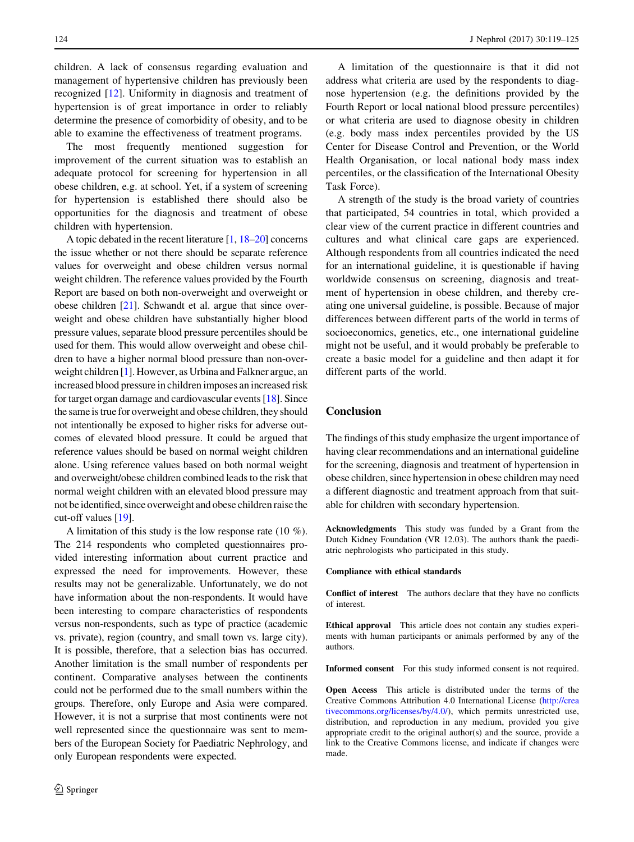children. A lack of consensus regarding evaluation and management of hypertensive children has previously been recognized [[12\]](#page-6-0). Uniformity in diagnosis and treatment of hypertension is of great importance in order to reliably determine the presence of comorbidity of obesity, and to be able to examine the effectiveness of treatment programs.

The most frequently mentioned suggestion for improvement of the current situation was to establish an adequate protocol for screening for hypertension in all obese children, e.g. at school. Yet, if a system of screening for hypertension is established there should also be opportunities for the diagnosis and treatment of obese children with hypertension.

A topic debated in the recent literature [\[1](#page-6-0), [18–20](#page-6-0)] concerns the issue whether or not there should be separate reference values for overweight and obese children versus normal weight children. The reference values provided by the Fourth Report are based on both non-overweight and overweight or obese children [[21\]](#page-6-0). Schwandt et al. argue that since overweight and obese children have substantially higher blood pressure values, separate blood pressure percentiles should be used for them. This would allow overweight and obese children to have a higher normal blood pressure than non-overweight children [\[1](#page-6-0)]. However, as Urbina and Falkner argue, an increased blood pressure in children imposes an increased risk for target organ damage and cardiovascular events [\[18\]](#page-6-0). Since the same is true for overweight and obese children, they should not intentionally be exposed to higher risks for adverse outcomes of elevated blood pressure. It could be argued that reference values should be based on normal weight children alone. Using reference values based on both normal weight and overweight/obese children combined leads to the risk that normal weight children with an elevated blood pressure may not be identified, since overweight and obese children raise the cut-off values [[19\]](#page-6-0).

A limitation of this study is the low response rate (10 %). The 214 respondents who completed questionnaires provided interesting information about current practice and expressed the need for improvements. However, these results may not be generalizable. Unfortunately, we do not have information about the non-respondents. It would have been interesting to compare characteristics of respondents versus non-respondents, such as type of practice (academic vs. private), region (country, and small town vs. large city). It is possible, therefore, that a selection bias has occurred. Another limitation is the small number of respondents per continent. Comparative analyses between the continents could not be performed due to the small numbers within the groups. Therefore, only Europe and Asia were compared. However, it is not a surprise that most continents were not well represented since the questionnaire was sent to members of the European Society for Paediatric Nephrology, and only European respondents were expected.

A limitation of the questionnaire is that it did not address what criteria are used by the respondents to diagnose hypertension (e.g. the definitions provided by the Fourth Report or local national blood pressure percentiles) or what criteria are used to diagnose obesity in children (e.g. body mass index percentiles provided by the US Center for Disease Control and Prevention, or the World Health Organisation, or local national body mass index percentiles, or the classification of the International Obesity Task Force).

A strength of the study is the broad variety of countries that participated, 54 countries in total, which provided a clear view of the current practice in different countries and cultures and what clinical care gaps are experienced. Although respondents from all countries indicated the need for an international guideline, it is questionable if having worldwide consensus on screening, diagnosis and treatment of hypertension in obese children, and thereby creating one universal guideline, is possible. Because of major differences between different parts of the world in terms of socioeconomics, genetics, etc., one international guideline might not be useful, and it would probably be preferable to create a basic model for a guideline and then adapt it for different parts of the world.

## Conclusion

The findings of this study emphasize the urgent importance of having clear recommendations and an international guideline for the screening, diagnosis and treatment of hypertension in obese children, since hypertension in obese children may need a different diagnostic and treatment approach from that suitable for children with secondary hypertension.

Acknowledgments This study was funded by a Grant from the Dutch Kidney Foundation (VR 12.03). The authors thank the paediatric nephrologists who participated in this study.

#### Compliance with ethical standards

Conflict of interest The authors declare that they have no conflicts of interest.

Ethical approval This article does not contain any studies experiments with human participants or animals performed by any of the authors.

Informed consent For this study informed consent is not required.

Open Access This article is distributed under the terms of the Creative Commons Attribution 4.0 International License ([http://crea](http://creativecommons.org/licenses/by/4.0/) [tivecommons.org/licenses/by/4.0/\)](http://creativecommons.org/licenses/by/4.0/), which permits unrestricted use, distribution, and reproduction in any medium, provided you give appropriate credit to the original author(s) and the source, provide a link to the Creative Commons license, and indicate if changes were made.